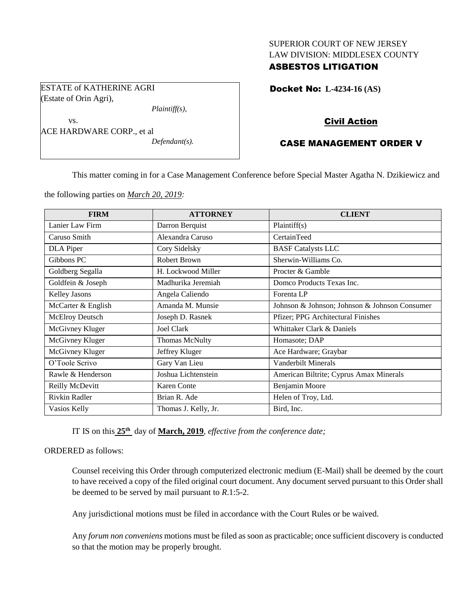## SUPERIOR COURT OF NEW JERSEY LAW DIVISION: MIDDLESEX COUNTY

# ASBESTOS LITIGATION

ESTATE of KATHERINE AGRI (Estate of Orin Agri),

*Plaintiff(s),*

vs. ACE HARDWARE CORP., et al *Defendant(s).* Docket No: **L-4234-16 (AS)** 

# Civil Action

# CASE MANAGEMENT ORDER V

This matter coming in for a Case Management Conference before Special Master Agatha N. Dzikiewicz and

the following parties on *March 20, 2019:*

| <b>FIRM</b>        | <b>ATTORNEY</b>      | <b>CLIENT</b>                                 |
|--------------------|----------------------|-----------------------------------------------|
| Lanier Law Firm    | Darron Berquist      | Plaintiff(s)                                  |
| Caruso Smith       | Alexandra Caruso     | CertainTeed                                   |
| DLA Piper          | Cory Sidelsky        | <b>BASF Catalysts LLC</b>                     |
| Gibbons PC         | Robert Brown         | Sherwin-Williams Co.                          |
| Goldberg Segalla   | H. Lockwood Miller   | Procter & Gamble                              |
| Goldfein & Joseph  | Madhurika Jeremiah   | Domco Products Texas Inc.                     |
| Kelley Jasons      | Angela Caliendo      | Forenta LP                                    |
| McCarter & English | Amanda M. Munsie     | Johnson & Johnson; Johnson & Johnson Consumer |
| McElroy Deutsch    | Joseph D. Rasnek     | Pfizer; PPG Architectural Finishes            |
| McGivney Kluger    | Joel Clark           | Whittaker Clark & Daniels                     |
| McGivney Kluger    | Thomas McNulty       | Homasote; DAP                                 |
| McGivney Kluger    | Jeffrey Kluger       | Ace Hardware; Graybar                         |
| O'Toole Scrivo     | Gary Van Lieu        | Vanderbilt Minerals                           |
| Rawle & Henderson  | Joshua Lichtenstein  | American Biltrite; Cyprus Amax Minerals       |
| Reilly McDevitt    | Karen Conte          | Benjamin Moore                                |
| Rivkin Radler      | Brian R. Ade         | Helen of Troy, Ltd.                           |
| Vasios Kelly       | Thomas J. Kelly, Jr. | Bird, Inc.                                    |

IT IS on this **25th** day of **March, 2019**, *effective from the conference date;*

ORDERED as follows:

Counsel receiving this Order through computerized electronic medium (E-Mail) shall be deemed by the court to have received a copy of the filed original court document. Any document served pursuant to this Order shall be deemed to be served by mail pursuant to *R*.1:5-2.

Any jurisdictional motions must be filed in accordance with the Court Rules or be waived.

Any *forum non conveniens* motions must be filed as soon as practicable; once sufficient discovery is conducted so that the motion may be properly brought.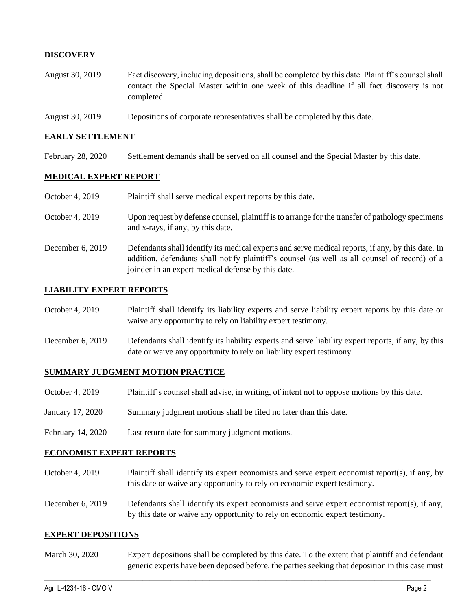# **DISCOVERY**

- August 30, 2019 Fact discovery, including depositions, shall be completed by this date. Plaintiff's counsel shall contact the Special Master within one week of this deadline if all fact discovery is not completed.
- August 30, 2019 Depositions of corporate representatives shall be completed by this date.

## **EARLY SETTLEMENT**

February 28, 2020 Settlement demands shall be served on all counsel and the Special Master by this date.

## **MEDICAL EXPERT REPORT**

| October 4, 2019  | Plaintiff shall serve medical expert reports by this date.                                                                                                                                                                                               |
|------------------|----------------------------------------------------------------------------------------------------------------------------------------------------------------------------------------------------------------------------------------------------------|
| October 4, 2019  | Upon request by defense counsel, plaintiff is to arrange for the transfer of pathology specimens<br>and x-rays, if any, by this date.                                                                                                                    |
| December 6, 2019 | Defendants shall identify its medical experts and serve medical reports, if any, by this date. In<br>addition, defendants shall notify plaintiff's counsel (as well as all counsel of record) of a<br>joinder in an expert medical defense by this date. |

## **LIABILITY EXPERT REPORTS**

| October 4, 2019  | Plaintiff shall identify its liability experts and serve liability expert reports by this date or<br>waive any opportunity to rely on liability expert testimony. |
|------------------|-------------------------------------------------------------------------------------------------------------------------------------------------------------------|
| Dogambar 6, 2010 | Defendents shell identify its lightlity experts and serve lightlity expert reports if any by this                                                                 |

December 6, 2019 Defendants shall identify its liability experts and serve liability expert reports, if any, by this date or waive any opportunity to rely on liability expert testimony.

#### **SUMMARY JUDGMENT MOTION PRACTICE**

- October 4, 2019 Plaintiff's counsel shall advise, in writing, of intent not to oppose motions by this date.
- January 17, 2020 Summary judgment motions shall be filed no later than this date.
- February 14, 2020 Last return date for summary judgment motions.

#### **ECONOMIST EXPERT REPORTS**

- October 4, 2019 Plaintiff shall identify its expert economists and serve expert economist report(s), if any, by this date or waive any opportunity to rely on economic expert testimony.
- December 6, 2019 Defendants shall identify its expert economists and serve expert economist report(s), if any, by this date or waive any opportunity to rely on economic expert testimony.

#### **EXPERT DEPOSITIONS**

March 30, 2020 Expert depositions shall be completed by this date. To the extent that plaintiff and defendant generic experts have been deposed before, the parties seeking that deposition in this case must

 $\_$  ,  $\_$  ,  $\_$  ,  $\_$  ,  $\_$  ,  $\_$  ,  $\_$  ,  $\_$  ,  $\_$  ,  $\_$  ,  $\_$  ,  $\_$  ,  $\_$  ,  $\_$  ,  $\_$  ,  $\_$  ,  $\_$  ,  $\_$  ,  $\_$  ,  $\_$  ,  $\_$  ,  $\_$  ,  $\_$  ,  $\_$  ,  $\_$  ,  $\_$  ,  $\_$  ,  $\_$  ,  $\_$  ,  $\_$  ,  $\_$  ,  $\_$  ,  $\_$  ,  $\_$  ,  $\_$  ,  $\_$  ,  $\_$  ,